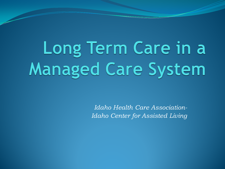Long Term Care in a **Managed Care System** 

> *Idaho Health Care Association-Idaho Center for Assisted Living*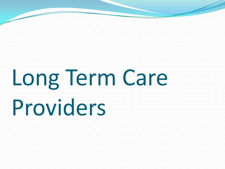# Long Term Care Providers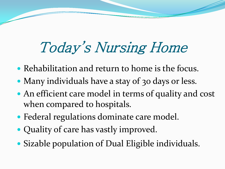# Today's Nursing Home

- Rehabilitation and return to home is the focus.
- Many individuals have a stay of 30 days or less.
- An efficient care model in terms of quality and cost when compared to hospitals.
- Federal regulations dominate care model.
- Quality of care has vastly improved.
- Sizable population of Dual Eligible individuals.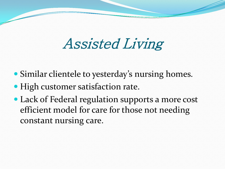#### Assisted Living

- Similar clientele to yesterday's nursing homes.
- High customer satisfaction rate.
- Lack of Federal regulation supports a more cost efficient model for care for those not needing constant nursing care.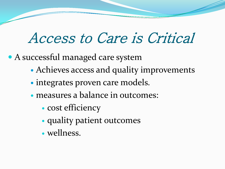#### Access to Care is Critical

A successful managed care system

- Achieves access and quality improvements
- integrates proven care models.
- measures a balance in outcomes:
	- cost efficiency
	- quality patient outcomes
	- wellness.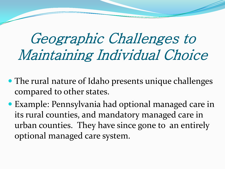### Geographic Challenges to Maintaining Individual Choice

- The rural nature of Idaho presents unique challenges compared to other states.
- Example: Pennsylvania had optional managed care in its rural counties, and mandatory managed care in urban counties. They have since gone to an entirely optional managed care system.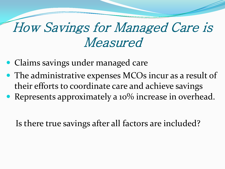#### How Savings for Managed Care is Measured

- Claims savings under managed care
- The administrative expenses MCOs incur as a result of their efforts to coordinate care and achieve savings
- Represents approximately a 10% increase in overhead.

Is there true savings after all factors are included?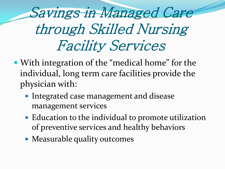Savings in Managed Care through Skilled Nursing Facility Services

- With integration of the "medical home" for the individual, long term care facilities provide the physician with:
	- Integrated case management and disease management services
	- Education to the individual to promote utilization of preventive services and healthy behaviors
	- Measurable quality outcomes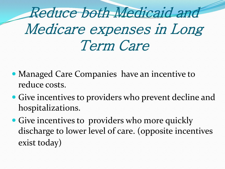Reduce both Medicaid and Medicare expenses in Long Term Care

- Managed Care Companies have an incentive to reduce costs.
- Give incentives to providers who prevent decline and hospitalizations.
- Give incentives to providers who more quickly discharge to lower level of care. (opposite incentives exist today)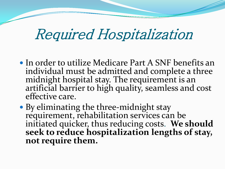#### Required Hospitalization

- In order to utilize Medicare Part A SNF benefits an individual must be admitted and complete a three midnight hospital stay. The requirement is an artificial barrier to high quality, seamless and cost effective care.
- By eliminating the three-midnight stay requirement, rehabilitation services can be initiated quicker, thus reducing costs. **We should seek to reduce hospitalization lengths of stay, not require them.**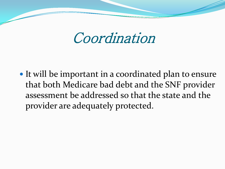Coordination

• It will be important in a coordinated plan to ensure that both Medicare bad debt and the SNF provider assessment be addressed so that the state and the provider are adequately protected.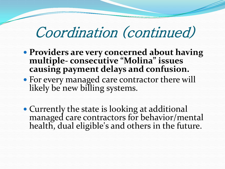#### Coordination (continued)

- **Providers are very concerned about having multiple- consecutive "Molina" issues causing payment delays and confusion.**
- For every managed care contractor there will likely be new billing systems.
- Currently the state is looking at additional managed care contractors for behavior/mental health, dual eligible's and others in the future.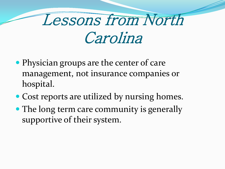# Lessons from North Carolina

- Physician groups are the center of care management, not insurance companies or hospital.
- Cost reports are utilized by nursing homes.
- The long term care community is generally supportive of their system.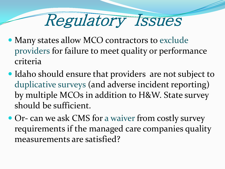# Regulatory Issues

- Many states allow MCO contractors to exclude providers for failure to meet quality or performance criteria
- Idaho should ensure that providers are not subject to duplicative surveys (and adverse incident reporting) by multiple MCOs in addition to H&W. State survey should be sufficient.
- Or- can we ask CMS for a waiver from costly survey requirements if the managed care companies quality measurements are satisfied?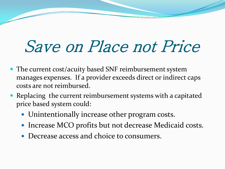# Save on Place not Price

- The current cost/acuity based SNF reimbursement system manages expenses. If a provider exceeds direct or indirect caps costs are not reimbursed.
- Replacing the current reimbursement systems with a capitated price based system could:
	- Unintentionally increase other program costs.
	- Increase MCO profits but not decrease Medicaid costs.
	- Decrease access and choice to consumers.